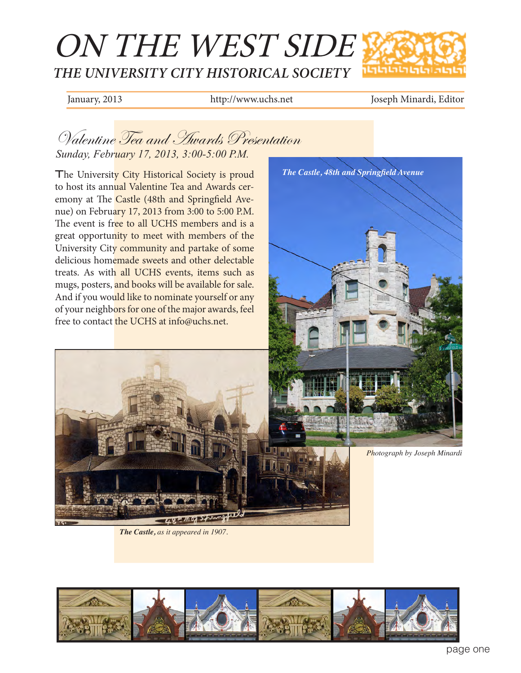

January, 2013 http://www.uchs.net Joseph Minardi, Editor

## Valentine Tea and Awards Presentation *Sunday, February 17, 2013, 3:00-5:00 P.M.*

The University City Historical Society is proud to host its annual Valentine Tea and Awards ceremony at The Castle (48th and Springfield Avenue) on February 17, 2013 from 3:00 to 5:00 P.M. The event is free to all UCHS members and is a great opportunity to meet with members of the University City community and partake of some delicious homemade sweets and other delectable treats. As with all UCHS events, items such as mugs, posters, and books will be available for sale. And if you would like to nominate yourself or any of your neighbors for one of the major awards, feel free to contact the UCHS at info@uchs.net.

*The Castle, as it appeared in 1907.* 

48210951



*Photograph by Joseph Minardi*

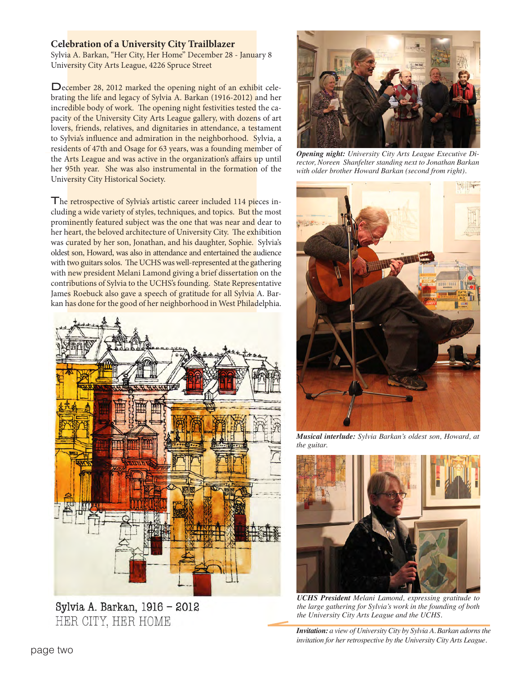## **Celebration of a University City Trailblazer**

Sylvia A. Barkan, "Her City, Her Home" December 28 - January 8 University City Arts League, 4226 Spruce Street

December 28, 2012 marked the opening night of an exhibit celebrating the life and legacy of Sylvia A. Barkan (1916-2012) and her incredible body of work. The opening night festivities tested the capacity of the University City Arts League gallery, with dozens of art lovers, friends, relatives, and dignitaries in attendance, a testament to Sylvia's influence and admiration in the neighborhood. Sylvia, a residents of 47th and Osage for 63 years, was a founding member of the Arts League and was active in the organization's affairs up until her 95th year. She was also instrumental in the formation of the University City Historical Society.

The retrospective of Sylvia's artistic career included 114 pieces including a wide variety of styles, techniques, and topics. But the most prominently featured subject was the one that was near and dear to her heart, the beloved architecture of University City. The exhibition was curated by her son, Jonathan, and his daughter, Sophie. Sylvia's oldest son, Howard, was also in attendance and entertained the audience with two guitars solos. The UCHS was well-represented at the gathering with new president Melani Lamond giving a brief dissertation on the contributions of Sylvia to the UCHS's founding. State Representative James Roebuck also gave a speech of gratitude for all Sylvia A. Barkan has done for the good of her neighborhood in West Philadelphia.



Sylvia A. Barkan, 1916 - 2012 HER CITY, HER HOME



*Opening night: University City Arts League Executive Director, Noreen Shanfelter standing next to Jonathan Barkan with older brother Howard Barkan (second from right).*



*Musical interlude: Sylvia Barkan's oldest son, Howard, at the guitar.*



*UCHS President Melani Lamond, expressing gratitude to the large gathering for Sylvia's work in the founding of both the University City Arts League and the UCHS.*

*Invitation: a view of University City by Sylvia A. Barkan adorns the invitation for her retrospective by the University City Arts League.*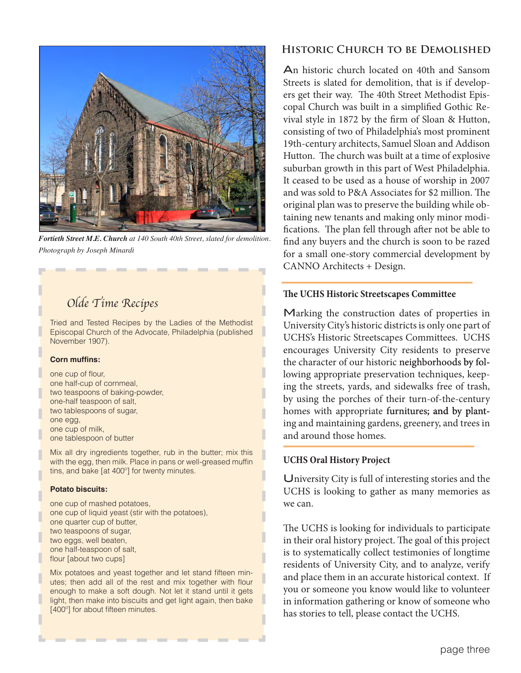

*Fortieth Street M.E. Church at 140 South 40th Street, slated for demolition. Photograph by Joseph Minardi*

# *Olde Time Recipes*

Tried and Tested Recipes by the Ladies of the Methodist Episcopal Church of the Advocate, Philadelphia (published November 1907).

### **Corn muffins:**

one cup of flour, one half-cup of cornmeal, two teaspoons of baking-powder, one-half teaspoon of salt, two tablespoons of sugar, one egg, one cup of milk, one tablespoon of butter

Mix all dry ingredients together, rub in the butter; mix this with the egg, then milk. Place in pans or well-greased muffin tins, and bake [at 400º] for twenty minutes.

#### **Potato biscuits:**

one cup of mashed potatoes, one cup of liquid yeast (stir with the potatoes), one quarter cup of butter, two teaspoons of sugar, two eggs, well beaten, one half-teaspoon of salt, flour [about two cups]

Mix potatoes and yeast together and let stand fifteen minutes; then add all of the rest and mix together with flour enough to make a soft dough. Not let it stand until it gets light, then make into biscuits and get light again, then bake [400°] for about fifteen minutes.

## **Historic Church to be Demolished**

An historic church located on 40th and Sansom Streets is slated for demolition, that is if developers get their way. The 40th Street Methodist Episcopal Church was built in a simplified Gothic Revival style in 1872 by the firm of Sloan & Hutton, consisting of two of Philadelphia's most prominent 19th-century architects, Samuel Sloan and Addison Hutton. The church was built at a time of explosive suburban growth in this part of West Philadelphia. It ceased to be used as a house of worship in 2007 and was sold to P&A Associates for \$2 million. The original plan was to preserve the building while obtaining new tenants and making only minor modifications. The plan fell through after not be able to find any buyers and the church is soon to be razed for a small one-story commercial development by CANNO Architects + Design.

### **The UCHS Historic Streetscapes Committee**

Marking the construction dates of properties in University City's historic districts is only one part of UCHS's Historic Streetscapes Committees. UCHS encourages University City residents to preserve the character of our historic neighborhoods by following appropriate preservation techniques, keeping the streets, yards, and sidewalks free of trash, by using the porches of their turn-of-the-century homes with appropriate furnitures; and by planting and maintaining gardens, greenery, and trees in and around those homes.

## **UCHS Oral History Project**

University City is full of interesting stories and the UCHS is looking to gather as many memories as we can.

The UCHS is looking for individuals to participate in their oral history project. The goal of this project is to systematically collect testimonies of longtime residents of University City, and to analyze, verify and place them in an accurate historical context. If you or someone you know would like to volunteer in information gathering or know of someone who has stories to tell, please contact the UCHS.